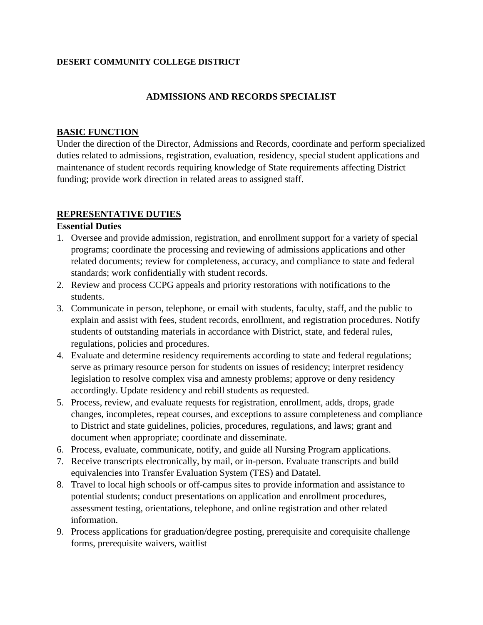#### **DESERT COMMUNITY COLLEGE DISTRICT**

### **ADMISSIONS AND RECORDS SPECIALIST**

### **BASIC FUNCTION**

Under the direction of the Director, Admissions and Records, coordinate and perform specialized duties related to admissions, registration, evaluation, residency, special student applications and maintenance of student records requiring knowledge of State requirements affecting District funding; provide work direction in related areas to assigned staff.

### **REPRESENTATIVE DUTIES**

### **Essential Duties**

- 1. Oversee and provide admission, registration, and enrollment support for a variety of special programs; coordinate the processing and reviewing of admissions applications and other related documents; review for completeness, accuracy, and compliance to state and federal standards; work confidentially with student records.
- 2. Review and process CCPG appeals and priority restorations with notifications to the students.
- 3. Communicate in person, telephone, or email with students, faculty, staff, and the public to explain and assist with fees, student records, enrollment, and registration procedures. Notify students of outstanding materials in accordance with District, state, and federal rules, regulations, policies and procedures.
- 4. Evaluate and determine residency requirements according to state and federal regulations; serve as primary resource person for students on issues of residency; interpret residency legislation to resolve complex visa and amnesty problems; approve or deny residency accordingly. Update residency and rebill students as requested.
- 5. Process, review, and evaluate requests for registration, enrollment, adds, drops, grade changes, incompletes, repeat courses, and exceptions to assure completeness and compliance to District and state guidelines, policies, procedures, regulations, and laws; grant and document when appropriate; coordinate and disseminate.
- 6. Process, evaluate, communicate, notify, and guide all Nursing Program applications.
- 7. Receive transcripts electronically, by mail, or in-person. Evaluate transcripts and build equivalencies into Transfer Evaluation System (TES) and Datatel.
- 8. Travel to local high schools or off-campus sites to provide information and assistance to potential students; conduct presentations on application and enrollment procedures, assessment testing, orientations, telephone, and online registration and other related information.
- 9. Process applications for graduation/degree posting, prerequisite and corequisite challenge forms, prerequisite waivers, waitlist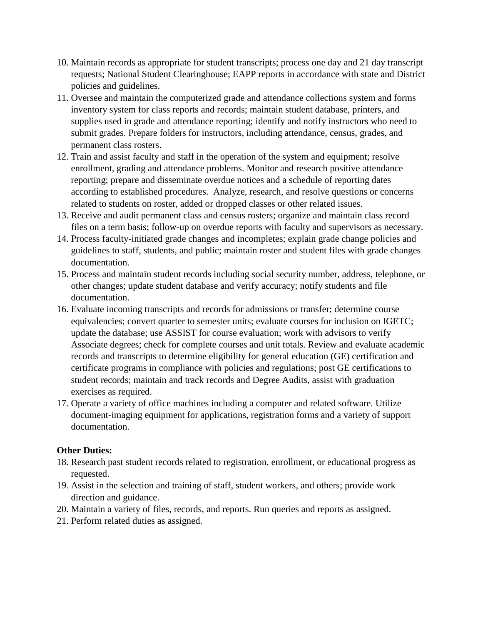- 10. Maintain records as appropriate for student transcripts; process one day and 21 day transcript requests; National Student Clearinghouse; EAPP reports in accordance with state and District policies and guidelines.
- 11. Oversee and maintain the computerized grade and attendance collections system and forms inventory system for class reports and records; maintain student database, printers, and supplies used in grade and attendance reporting; identify and notify instructors who need to submit grades. Prepare folders for instructors, including attendance, census, grades, and permanent class rosters.
- 12. Train and assist faculty and staff in the operation of the system and equipment; resolve enrollment, grading and attendance problems. Monitor and research positive attendance reporting; prepare and disseminate overdue notices and a schedule of reporting dates according to established procedures. Analyze, research, and resolve questions or concerns related to students on roster, added or dropped classes or other related issues.
- 13. Receive and audit permanent class and census rosters; organize and maintain class record files on a term basis; follow-up on overdue reports with faculty and supervisors as necessary.
- 14. Process faculty-initiated grade changes and incompletes; explain grade change policies and guidelines to staff, students, and public; maintain roster and student files with grade changes documentation.
- 15. Process and maintain student records including social security number, address, telephone, or other changes; update student database and verify accuracy; notify students and file documentation.
- 16. Evaluate incoming transcripts and records for admissions or transfer; determine course equivalencies; convert quarter to semester units; evaluate courses for inclusion on IGETC; update the database; use ASSIST for course evaluation; work with advisors to verify Associate degrees; check for complete courses and unit totals. Review and evaluate academic records and transcripts to determine eligibility for general education (GE) certification and certificate programs in compliance with policies and regulations; post GE certifications to student records; maintain and track records and Degree Audits, assist with graduation exercises as required.
- 17. Operate a variety of office machines including a computer and related software. Utilize document-imaging equipment for applications, registration forms and a variety of support documentation.

### **Other Duties:**

- 18. Research past student records related to registration, enrollment, or educational progress as requested.
- 19. Assist in the selection and training of staff, student workers, and others; provide work direction and guidance.
- 20. Maintain a variety of files, records, and reports. Run queries and reports as assigned.
- 21. Perform related duties as assigned.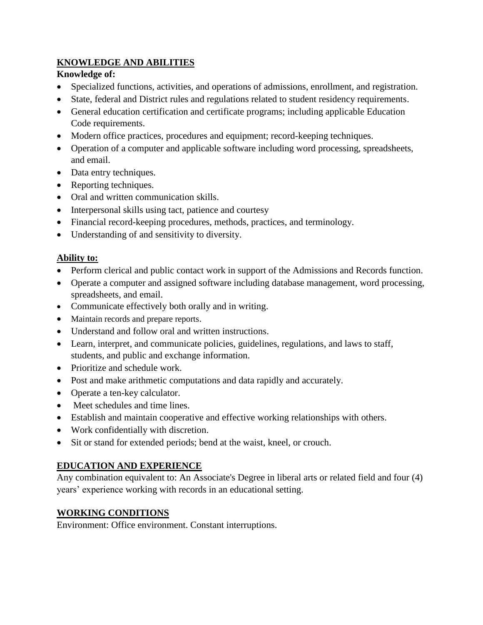# **KNOWLEDGE AND ABILITIES**

## **Knowledge of:**

- Specialized functions, activities, and operations of admissions, enrollment, and registration.
- State, federal and District rules and regulations related to student residency requirements.
- General education certification and certificate programs; including applicable Education Code requirements.
- Modern office practices, procedures and equipment; record-keeping techniques.
- Operation of a computer and applicable software including word processing, spreadsheets, and email.
- Data entry techniques.
- Reporting techniques.
- Oral and written communication skills.
- Interpersonal skills using tact, patience and courtesy
- Financial record-keeping procedures, methods, practices, and terminology.
- Understanding of and sensitivity to diversity.

## **Ability to:**

- Perform clerical and public contact work in support of the Admissions and Records function.
- Operate a computer and assigned software including database management, word processing, spreadsheets, and email.
- Communicate effectively both orally and in writing.
- Maintain records and prepare reports.
- Understand and follow oral and written instructions.
- Learn, interpret, and communicate policies, guidelines, regulations, and laws to staff, students, and public and exchange information.
- Prioritize and schedule work.
- Post and make arithmetic computations and data rapidly and accurately.
- Operate a ten-key calculator.
- Meet schedules and time lines.
- Establish and maintain cooperative and effective working relationships with others.
- Work confidentially with discretion.
- Sit or stand for extended periods; bend at the waist, kneel, or crouch.

# **EDUCATION AND EXPERIENCE**

Any combination equivalent to: An Associate's Degree in liberal arts or related field and four (4) years' experience working with records in an educational setting.

# **WORKING CONDITIONS**

Environment: Office environment. Constant interruptions.